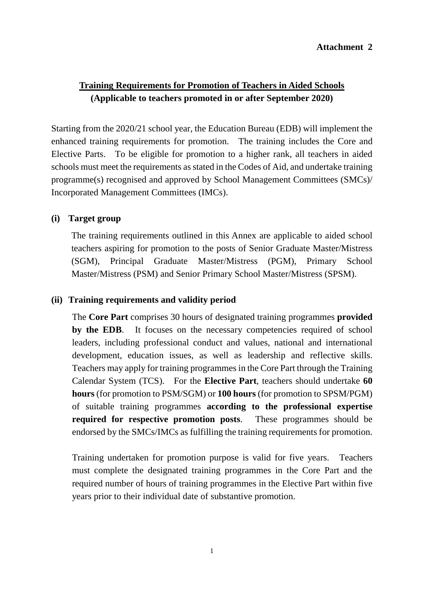# **Training Requirements for Promotion of Teachers in Aided Schools (Applicable to teachers promoted in or after September 2020)**

Starting from the 2020/21 school year, the Education Bureau (EDB) will implement the enhanced training requirements for promotion. The training includes the Core and Elective Parts. To be eligible for promotion to a higher rank, all teachers in aided schools must meet the requirements as stated in the Codes of Aid, and undertake training programme(s) recognised and approved by School Management Committees (SMCs)/ Incorporated Management Committees (IMCs).

## **(i) Target group**

The training requirements outlined in this Annex are applicable to aided school teachers aspiring for promotion to the posts of Senior Graduate Master/Mistress (SGM), Principal Graduate Master/Mistress (PGM), Primary School Master/Mistress (PSM) and Senior Primary School Master/Mistress (SPSM).

### **(ii) Training requirements and validity period**

The **Core Part** comprises 30 hours of designated training programmes **provided**  by the EDB. It focuses on the necessary competencies required of school leaders, including professional conduct and values, national and international development, education issues, as well as leadership and reflective skills. Teachers may apply for training programmes in the Core Part through the Training Calendar System (TCS). For the **Elective Part**, teachers should undertake **60 hours** (for promotion to PSM/SGM) or **100 hours** (for promotion to SPSM/PGM) of suitable training programmes **according to the professional expertise required for respective promotion posts**. These programmes should be endorsed by the SMCs/IMCs as fulfilling the training requirements for promotion.

Training undertaken for promotion purpose is valid for five years. Teachers must complete the designated training programmes in the Core Part and the required number of hours of training programmes in the Elective Part within five years prior to their individual date of substantive promotion.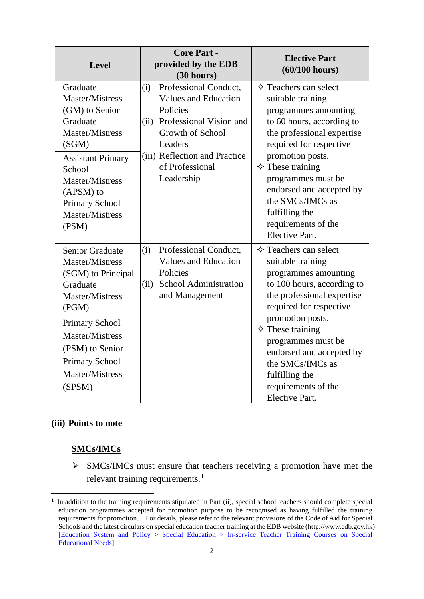| <b>Level</b>                                                                                                                                                                                                                                             | <b>Core Part -</b><br>provided by the EDB<br>(30 hours)                                                                                                                                                     | <b>Elective Part</b><br>$(60/100$ hours)                                                                                                                                                                                                                                                                                                                    |
|----------------------------------------------------------------------------------------------------------------------------------------------------------------------------------------------------------------------------------------------------------|-------------------------------------------------------------------------------------------------------------------------------------------------------------------------------------------------------------|-------------------------------------------------------------------------------------------------------------------------------------------------------------------------------------------------------------------------------------------------------------------------------------------------------------------------------------------------------------|
| Graduate<br><b>Master/Mistress</b><br>(GM) to Senior<br>Graduate<br><b>Master/Mistress</b><br>(SGM)<br><b>Assistant Primary</b><br>School<br><b>Master/Mistress</b><br>(APSM) to<br>Primary School<br><b>Master/Mistress</b><br>(PSM)                    | Professional Conduct,<br>(i)<br><b>Values and Education</b><br>Policies<br>Professional Vision and<br>(ii)<br>Growth of School<br>Leaders<br>(iii) Reflection and Practice<br>of Professional<br>Leadership | $\Diamond$ Teachers can select<br>suitable training<br>programmes amounting<br>to 60 hours, according to<br>the professional expertise<br>required for respective<br>promotion posts.<br>$\Diamond$ These training<br>programmes must be<br>endorsed and accepted by<br>the SMCs/IMCs as<br>fulfilling the<br>requirements of the<br><b>Elective Part.</b>  |
| <b>Senior Graduate</b><br><b>Master/Mistress</b><br>(SGM) to Principal<br>Graduate<br><b>Master/Mistress</b><br>(PGM)<br><b>Primary School</b><br><b>Master/Mistress</b><br>(PSM) to Senior<br><b>Primary School</b><br><b>Master/Mistress</b><br>(SPSM) | Professional Conduct,<br>(i)<br><b>Values and Education</b><br>Policies<br><b>School Administration</b><br>(ii)<br>and Management                                                                           | $\Diamond$ Teachers can select<br>suitable training<br>programmes amounting<br>to 100 hours, according to<br>the professional expertise<br>required for respective<br>promotion posts.<br>$\Diamond$ These training<br>programmes must be<br>endorsed and accepted by<br>the SMCs/IMCs as<br>fulfilling the<br>requirements of the<br><b>Elective Part.</b> |

### **(iii) Points to note**

## **SMCs/IMCs**

 $\triangleright$  SMCs/IMCs must ensure that teachers receiving a promotion have met the relevant training requirements.<sup>[1](#page-1-0)</sup>

<span id="page-1-0"></span><sup>&</sup>lt;sup>1</sup> In addition to the training requirements stipulated in Part (ii), special school teachers should complete special education programmes accepted for promotion purpose to be recognised as having fulfilled the training requirements for promotion. For details, please refer to the relevant provisions of the Code of Aid for Special Schools and the latest circulars on special education teacher training at the EDB website [\(http://www.edb.gov.hk\)](http://www.edb.gov.hk/) [\[Education System and Policy > Special Education > In-service Teacher Training Courses on Special](https://www.edb.gov.hk/en/edu-system/special/sen-training/index.html)  [Educational Needs\]](https://www.edb.gov.hk/en/edu-system/special/sen-training/index.html).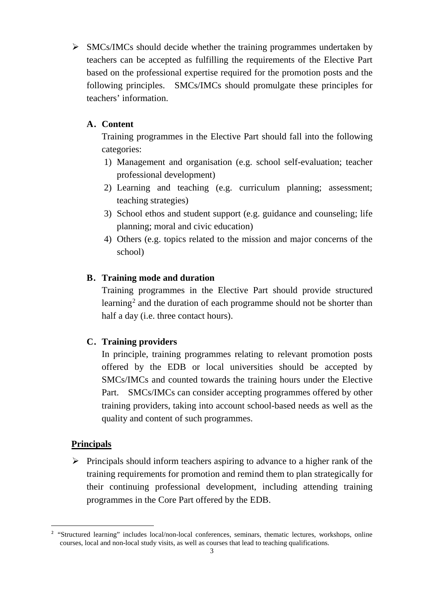$\triangleright$  SMCs/IMCs should decide whether the training programmes undertaken by teachers can be accepted as fulfilling the requirements of the Elective Part based on the professional expertise required for the promotion posts and the following principles. SMCs/IMCs should promulgate these principles for teachers' information.

# **A. Content**

Training programmes in the Elective Part should fall into the following categories:

- 1) Management and organisation (e.g. school self-evaluation; teacher professional development)
- 2) Learning and teaching (e.g. curriculum planning; assessment; teaching strategies)
- 3) School ethos and student support (e.g. guidance and counseling; life planning; moral and civic education)
- 4) Others (e.g. topics related to the mission and major concerns of the school)

# **B. Training mode and duration**

Training programmes in the Elective Part should provide structured learning<sup>[2](#page-2-0)</sup> and the duration of each programme should not be shorter than half a day (i.e. three contact hours).

## **C. Training providers**

In principle, training programmes relating to relevant promotion posts offered by the EDB or local universities should be accepted by SMCs/IMCs and counted towards the training hours under the Elective Part. SMCs/IMCs can consider accepting programmes offered by other training providers, taking into account school-based needs as well as the quality and content of such programmes.

## **Principals**

 $\triangleright$  Principals should inform teachers aspiring to advance to a higher rank of the training requirements for promotion and remind them to plan strategically for their continuing professional development, including attending training programmes in the Core Part offered by the EDB.

<span id="page-2-0"></span> $\frac{1}{2}$ <sup>2</sup> "Structured learning" includes local/non-local conferences, seminars, thematic lectures, workshops, online courses, local and non-local study visits, as well as courses that lead to teaching qualifications.